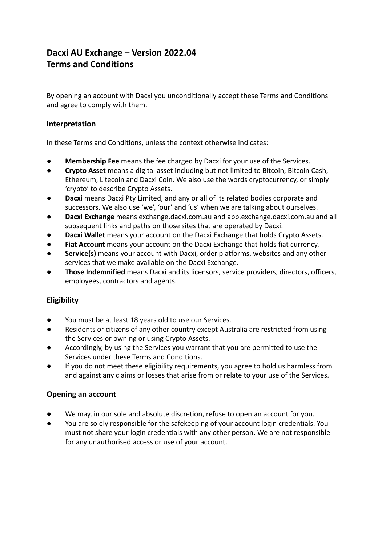# **Dacxi AU Exchange – Version 2022.04 Terms and Conditions**

By opening an account with Dacxi you unconditionally accept these Terms and Conditions and agree to comply with them.

# **Interpretation**

In these Terms and Conditions, unless the context otherwise indicates:

- **Membership Fee** means the fee charged by Dacxi for your use of the Services.
- **Crypto Asset** means a digital asset including but not limited to Bitcoin, Bitcoin Cash, Ethereum, Litecoin and Dacxi Coin. We also use the words cryptocurrency, or simply 'crypto' to describe Crypto Assets.
- **Dacxi** means Dacxi Pty Limited, and any or all of its related bodies corporate and successors. We also use 'we', 'our' and 'us' when we are talking about ourselves.
- **Dacxi Exchange** means exchange.dacxi.com.au and app.exchange.dacxi.com.au and all subsequent links and paths on those sites that are operated by Dacxi.
- **Dacxi Wallet** means your account on the Dacxi Exchange that holds Crypto Assets.
- **● Fiat Account** means your account on the Dacxi Exchange that holds fiat currency.
- **Service(s)** means your account with Dacxi, order platforms, websites and any other services that we make available on the Dacxi Exchange.
- **Those Indemnified** means Dacxi and its licensors, service providers, directors, officers, employees, contractors and agents.

# **Eligibility**

- You must be at least 18 years old to use our Services.
- Residents or citizens of any other country except Australia are restricted from using the Services or owning or using Crypto Assets.
- Accordingly, by using the Services you warrant that you are permitted to use the Services under these Terms and Conditions.
- If you do not meet these eligibility requirements, you agree to hold us harmless from and against any claims or losses that arise from or relate to your use of the Services.

# **Opening an account**

- We may, in our sole and absolute discretion, refuse to open an account for you.
- You are solely responsible for the safekeeping of your account login credentials. You must not share your login credentials with any other person. We are not responsible for any unauthorised access or use of your account.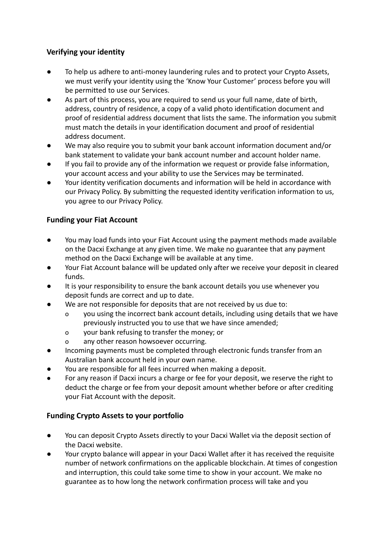# **Verifying your identity**

- To help us adhere to anti-money laundering rules and to protect your Crypto Assets, we must verify your identity using the 'Know Your Customer' process before you will be permitted to use our Services.
- As part of this process, you are required to send us your full name, date of birth, address, country of residence, a copy of a valid photo identification document and proof of residential address document that lists the same. The information you submit must match the details in your identification document and proof of residential address document.
- We may also require you to submit your bank account information document and/or bank statement to validate your bank account number and account holder name.
- If you fail to provide any of the information we request or provide false information, your account access and your ability to use the Services may be terminated.
- Your identity verification documents and information will be held in accordance with our Privacy Policy. By submitting the requested identity verification information to us, you agree to our Privacy Policy.

# **Funding your Fiat Account**

- You may load funds into your Fiat Account using the payment methods made available on the Dacxi Exchange at any given time. We make no guarantee that any payment method on the Dacxi Exchange will be available at any time.
- Your Fiat Account balance will be updated only after we receive your deposit in cleared funds.
- It is your responsibility to ensure the bank account details you use whenever you deposit funds are correct and up to date.
- We are not responsible for deposits that are not received by us due to:
	- o you using the incorrect bank account details, including using details that we have previously instructed you to use that we have since amended;
	- o your bank refusing to transfer the money; or
	- o any other reason howsoever occurring.
- Incoming payments must be completed through electronic funds transfer from an Australian bank account held in your own name.
- You are responsible for all fees incurred when making a deposit.
- For any reason if Dacxi incurs a charge or fee for your deposit, we reserve the right to deduct the charge or fee from your deposit amount whether before or after crediting your Fiat Account with the deposit.

# **Funding Crypto Assets to your portfolio**

- You can deposit Crypto Assets directly to your Dacxi Wallet via the deposit section of the Dacxi website.
- Your crypto balance will appear in your Dacxi Wallet after it has received the requisite number of network confirmations on the applicable blockchain. At times of congestion and interruption, this could take some time to show in your account. We make no guarantee as to how long the network confirmation process will take and you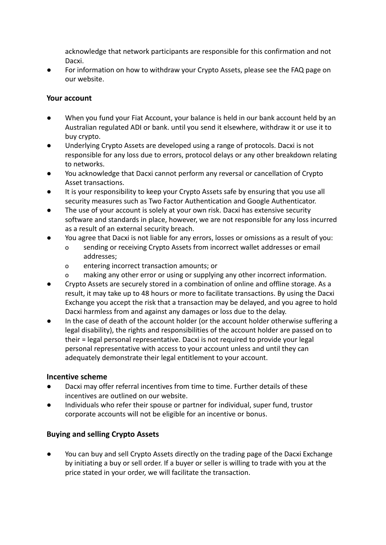acknowledge that network participants are responsible for this confirmation and not Dacxi.

For information on how to withdraw your Crypto Assets, please see the FAQ page on our website.

## **Your account**

- When you fund your Fiat Account, your balance is held in our bank account held by an Australian regulated ADI or bank. until you send it elsewhere, withdraw it or use it to buy crypto.
- Underlying Crypto Assets are developed using a range of protocols. Dacxi is not responsible for any loss due to errors, protocol delays or any other breakdown relating to networks.
- You acknowledge that Dacxi cannot perform any reversal or cancellation of Crypto Asset transactions.
- It is your responsibility to keep your Crypto Assets safe by ensuring that you use all security measures such as Two Factor Authentication and Google Authenticator.
- The use of your account is solely at your own risk. Dacxi has extensive security software and standards in place, however, we are not responsible for any loss incurred as a result of an external security breach.
- You agree that Dacxi is not liable for any errors, losses or omissions as a result of you:
	- o sending or receiving Crypto Assets from incorrect wallet addresses or email addresses;
	- o entering incorrect transaction amounts; or
	- o making any other error or using or supplying any other incorrect information.
- Crypto Assets are securely stored in a combination of online and offline storage. As a result, it may take up to 48 hours or more to facilitate transactions. By using the Dacxi Exchange you accept the risk that a transaction may be delayed, and you agree to hold Dacxi harmless from and against any damages or loss due to the delay.
- In the case of death of the account holder (or the account holder otherwise suffering a legal disability), the rights and responsibilities of the account holder are passed on to their = legal personal representative. Dacxi is not required to provide your legal personal representative with access to your account unless and until they can adequately demonstrate their legal entitlement to your account.

## **Incentive scheme**

- Dacxi may offer referral incentives from time to time. Further details of these incentives are outlined on our website.
- Individuals who refer their spouse or partner for individual, super fund, trustor corporate accounts will not be eligible for an incentive or bonus.

# **Buying and selling Crypto Assets**

You can buy and sell Crypto Assets directly on the trading page of the Dacxi Exchange by initiating a buy or sell order. If a buyer or seller is willing to trade with you at the price stated in your order, we will facilitate the transaction.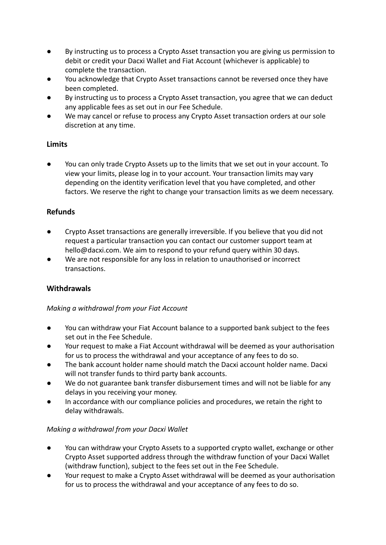- By instructing us to process a Crypto Asset transaction you are giving us permission to debit or credit your Dacxi Wallet and Fiat Account (whichever is applicable) to complete the transaction.
- You acknowledge that Crypto Asset transactions cannot be reversed once they have been completed.
- By instructing us to process a Crypto Asset transaction, you agree that we can deduct any applicable fees as set out in our Fee Schedule.
- We may cancel or refuse to process any Crypto Asset transaction orders at our sole discretion at any time.

# **Limits**

You can only trade Crypto Assets up to the limits that we set out in your account. To view your limits, please log in to your account. Your transaction limits may vary depending on the identity verification level that you have completed, and other factors. We reserve the right to change your transaction limits as we deem necessary.

# **Refunds**

- Crypto Asset transactions are generally irreversible. If you believe that you did not request a particular transaction you can contact our customer support team at hello@dacxi.com. We aim to respond to your refund query within 30 days.
- We are not responsible for any loss in relation to unauthorised or incorrect transactions.

# **Withdrawals**

## *Making a withdrawal from your Fiat Account*

- You can withdraw your Fiat Account balance to a supported bank subject to the fees set out in the Fee Schedule.
- Your request to make a Fiat Account withdrawal will be deemed as your authorisation for us to process the withdrawal and your acceptance of any fees to do so.
- The bank account holder name should match the Dacxi account holder name. Dacxi will not transfer funds to third party bank accounts.
- We do not guarantee bank transfer disbursement times and will not be liable for any delays in you receiving your money.
- In accordance with our compliance policies and procedures, we retain the right to delay withdrawals.

# *Making a withdrawal from your Dacxi Wallet*

- You can withdraw your Crypto Assets to a supported crypto wallet, exchange or other Crypto Asset supported address through the withdraw function of your Dacxi Wallet (withdraw function), subject to the fees set out in the Fee Schedule.
- Your request to make a Crypto Asset withdrawal will be deemed as your authorisation for us to process the withdrawal and your acceptance of any fees to do so.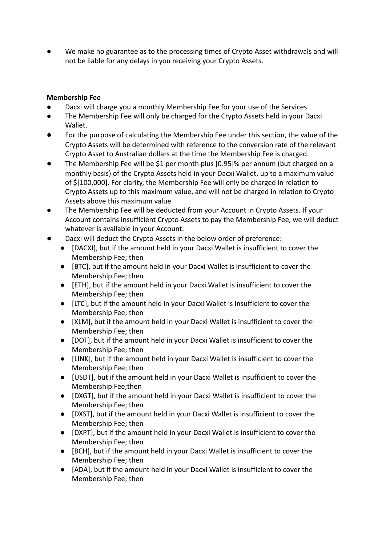We make no guarantee as to the processing times of Crypto Asset withdrawals and will not be liable for any delays in you receiving your Crypto Assets.

# **Membership Fee**

- Dacxi will charge you a monthly Membership Fee for your use of the Services.
- The Membership Fee will only be charged for the Crypto Assets held in your Dacxi Wallet.
- For the purpose of calculating the Membership Fee under this section, the value of the Crypto Assets will be determined with reference to the conversion rate of the relevant Crypto Asset to Australian dollars at the time the Membership Fee is charged.
- The Membership Fee will be \$1 per month plus [0.95]% per annum (but charged on a monthly basis) of the Crypto Assets held in your Dacxi Wallet, up to a maximum value of \$[100,000]. For clarity, the Membership Fee will only be charged in relation to Crypto Assets up to this maximum value, and will not be charged in relation to Crypto Assets above this maximum value.
- The Membership Fee will be deducted from your Account in Crypto Assets. If your Account contains insufficient Crypto Assets to pay the Membership Fee, we will deduct whatever is available in your Account.
- Dacxi will deduct the Crypto Assets in the below order of preference:
	- [DACXI], but if the amount held in your Dacxi Wallet is insufficient to cover the Membership Fee; then
	- [BTC], but if the amount held in your Dacxi Wallet is insufficient to cover the Membership Fee; then
	- [ETH], but if the amount held in your Dacxi Wallet is insufficient to cover the Membership Fee; then
	- [LTC], but if the amount held in your Dacxi Wallet is insufficient to cover the Membership Fee; then
	- [XLM], but if the amount held in your Dacxi Wallet is insufficient to cover the Membership Fee; then
	- [DOT], but if the amount held in your Dacxi Wallet is insufficient to cover the Membership Fee; then
	- [LINK], but if the amount held in your Dacxi Wallet is insufficient to cover the Membership Fee; then
	- [USDT], but if the amount held in your Dacxi Wallet is insufficient to cover the Membership Fee;then
	- [DXGT], but if the amount held in your Dacxi Wallet is insufficient to cover the Membership Fee; then
	- [DXST], but if the amount held in your Dacxi Wallet is insufficient to cover the Membership Fee; then
	- [DXPT], but if the amount held in your Dacxi Wallet is insufficient to cover the Membership Fee; then
	- [BCH], but if the amount held in your Dacxi Wallet is insufficient to cover the Membership Fee; then
	- [ADA], but if the amount held in your Dacxi Wallet is insufficient to cover the Membership Fee; then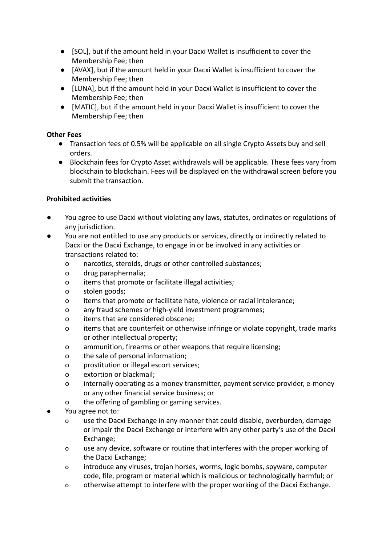- [SOL], but if the amount held in your Dacxi Wallet is insufficient to cover the Membership Fee; then
- [AVAX], but if the amount held in your Dacxi Wallet is insufficient to cover the Membership Fee; then
- [LUNA], but if the amount held in your Dacxi Wallet is insufficient to cover the Membership Fee; then
- [MATIC], but if the amount held in your Dacxi Wallet is insufficient to cover the Membership Fee; then

## **Other Fees**

- Transaction fees of 0.5% will be applicable on all single Crypto Assets buy and sell orders.
- Blockchain fees for Crypto Asset withdrawals will be applicable. These fees vary from blockchain to blockchain. Fees will be displayed on the withdrawal screen before you submit the transaction.

## **Prohibited activities**

- You agree to use Dacxi without violating any laws, statutes, ordinates or regulations of any jurisdiction.
- You are not entitled to use any products or services, directly or indirectly related to Dacxi or the Dacxi Exchange, to engage in or be involved in any activities or transactions related to:
	- o narcotics, steroids, drugs or other controlled substances;
	- o drug paraphernalia;
	- o items that promote or facilitate illegal activities;
	- o stolen goods;
	- o items that promote or facilitate hate, violence or racial intolerance;
	- o any fraud schemes or high-yield investment programmes;
	- o items that are considered obscene;
	- o items that are counterfeit or otherwise infringe or violate copyright, trade marks or other intellectual property;
	- o ammunition, firearms or other weapons that require licensing;
	- o the sale of personal information;
	- o prostitution or illegal escort services;
	- o extortion or blackmail;
	- o internally operating as a money transmitter, payment service provider, e-money or any other financial service business; or
	- o the offering of gambling or gaming services.
- You agree not to:
	- o use the Dacxi Exchange in any manner that could disable, overburden, damage or impair the Dacxi Exchange or interfere with any other party's use of the Dacxi Exchange;
	- o use any device, software or routine that interferes with the proper working of the Dacxi Exchange;
	- o introduce any viruses, trojan horses, worms, logic bombs, spyware, computer code, file, program or material which is malicious or technologically harmful; or
	- o otherwise attempt to interfere with the proper working of the Dacxi Exchange.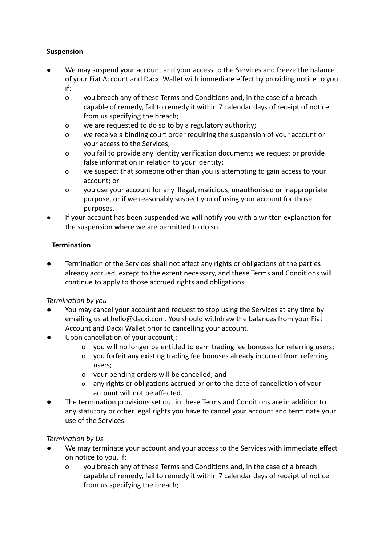# **Suspension**

- We may suspend your account and your access to the Services and freeze the balance of your Fiat Account and Dacxi Wallet with immediate effect by providing notice to you if:
	- o you breach any of these Terms and Conditions and, in the case of a breach capable of remedy, fail to remedy it within 7 calendar days of receipt of notice from us specifying the breach;
	- o we are requested to do so to by a regulatory authority;
	- o we receive a binding court order requiring the suspension of your account or your access to the Services;
	- o you fail to provide any identity verification documents we request or provide false information in relation to your identity;
	- o we suspect that someone other than you is attempting to gain access to your account; or
	- o you use your account for any illegal, malicious, unauthorised or inappropriate purpose, or if we reasonably suspect you of using your account for those purposes.
- If your account has been suspended we will notify you with a written explanation for the suspension where we are permitted to do so.

# **Termination**

Termination of the Services shall not affect any rights or obligations of the parties already accrued, except to the extent necessary, and these Terms and Conditions will continue to apply to those accrued rights and obligations.

## *Termination by you*

- You may cancel your account and request to stop using the Services at any time by emailing us at hello@dacxi.com. You should withdraw the balances from your Fiat Account and Dacxi Wallet prior to cancelling your account.
- Upon cancellation of your account,:
	- o you will no longer be entitled to earn trading fee bonuses for referring users;
	- o you forfeit any existing trading fee bonuses already incurred from referring users;
	- o your pending orders will be cancelled; and
	- o any rights or obligations accrued prior to the date of cancellation of your account will not be affected.
- The termination provisions set out in these Terms and Conditions are in addition to any statutory or other legal rights you have to cancel your account and terminate your use of the Services.

## *Termination by Us*

- We may terminate your account and your access to the Services with immediate effect on notice to you, if:
	- o you breach any of these Terms and Conditions and, in the case of a breach capable of remedy, fail to remedy it within 7 calendar days of receipt of notice from us specifying the breach;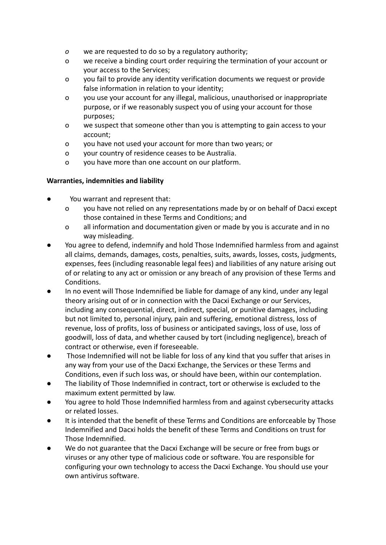- *o* we are requested to do so by a regulatory authority;
- o we receive a binding court order requiring the termination of your account or your access to the Services;
- o you fail to provide any identity verification documents we request or provide false information in relation to your identity;
- o you use your account for any illegal, malicious, unauthorised or inappropriate purpose, or if we reasonably suspect you of using your account for those purposes;
- o we suspect that someone other than you is attempting to gain access to your account;
- o you have not used your account for more than two years; or
- o your country of residence ceases to be Australia.
- o you have more than one account on our platform.

## **Warranties, indemnities and liability**

- You warrant and represent that:
	- o you have not relied on any representations made by or on behalf of Dacxi except those contained in these Terms and Conditions; and
	- o all information and documentation given or made by you is accurate and in no way misleading.
- You agree to defend, indemnify and hold Those Indemnified harmless from and against all claims, demands, damages, costs, penalties, suits, awards, losses, costs, judgments, expenses, fees (including reasonable legal fees) and liabilities of any nature arising out of or relating to any act or omission or any breach of any provision of these Terms and Conditions.
- In no event will Those Indemnified be liable for damage of any kind, under any legal theory arising out of or in connection with the Dacxi Exchange or our Services, including any consequential, direct, indirect, special, or punitive damages, including but not limited to, personal injury, pain and suffering, emotional distress, loss of revenue, loss of profits, loss of business or anticipated savings, loss of use, loss of goodwill, loss of data, and whether caused by tort (including negligence), breach of contract or otherwise, even if foreseeable.
- Those Indemnified will not be liable for loss of any kind that you suffer that arises in any way from your use of the Dacxi Exchange, the Services or these Terms and Conditions, even if such loss was, or should have been, within our contemplation.
- The liability of Those Indemnified in contract, tort or otherwise is excluded to the maximum extent permitted by law.
- You agree to hold Those Indemnified harmless from and against cybersecurity attacks or related losses.
- It is intended that the benefit of these Terms and Conditions are enforceable by Those Indemnified and Dacxi holds the benefit of these Terms and Conditions on trust for Those Indemnified.
- We do not guarantee that the Dacxi Exchange will be secure or free from bugs or viruses or any other type of malicious code or software. You are responsible for configuring your own technology to access the Dacxi Exchange. You should use your own antivirus software.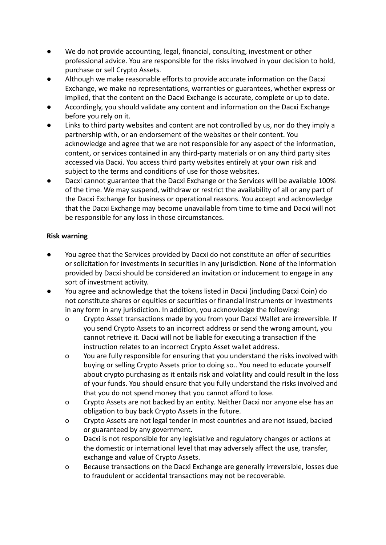- We do not provide accounting, legal, financial, consulting, investment or other professional advice. You are responsible for the risks involved in your decision to hold, purchase or sell Crypto Assets.
- Although we make reasonable efforts to provide accurate information on the Dacxi Exchange, we make no representations, warranties or guarantees, whether express or implied, that the content on the Dacxi Exchange is accurate, complete or up to date.
- Accordingly, you should validate any content and information on the Dacxi Exchange before you rely on it.
- Links to third party websites and content are not controlled by us, nor do they imply a partnership with, or an endorsement of the websites or their content. You acknowledge and agree that we are not responsible for any aspect of the information, content, or services contained in any third-party materials or on any third party sites accessed via Dacxi. You access third party websites entirely at your own risk and subject to the terms and conditions of use for those websites.
- Dacxi cannot guarantee that the Dacxi Exchange or the Services will be available 100% of the time. We may suspend, withdraw or restrict the availability of all or any part of the Dacxi Exchange for business or operational reasons. You accept and acknowledge that the Dacxi Exchange may become unavailable from time to time and Dacxi will not be responsible for any loss in those circumstances.

# **Risk warning**

- You agree that the Services provided by Dacxi do not constitute an offer of securities or solicitation for investments in securities in any jurisdiction. None of the information provided by Dacxi should be considered an invitation or inducement to engage in any sort of investment activity.
- You agree and acknowledge that the tokens listed in Dacxi (including Dacxi Coin) do not constitute shares or equities or securities or financial instruments or investments in any form in any jurisdiction. In addition, you acknowledge the following:
	- o Crypto Asset transactions made by you from your Dacxi Wallet are irreversible. If you send Crypto Assets to an incorrect address or send the wrong amount, you cannot retrieve it. Dacxi will not be liable for executing a transaction if the instruction relates to an incorrect Crypto Asset wallet address.
	- o You are fully responsible for ensuring that you understand the risks involved with buying or selling Crypto Assets prior to doing so.. You need to educate yourself about crypto purchasing as it entails risk and volatility and could result in the loss of your funds. You should ensure that you fully understand the risks involved and that you do not spend money that you cannot afford to lose.
	- o Crypto Assets are not backed by an entity. Neither Dacxi nor anyone else has an obligation to buy back Crypto Assets in the future.
	- o Crypto Assets are not legal tender in most countries and are not issued, backed or guaranteed by any government.
	- o Dacxi is not responsible for any legislative and regulatory changes or actions at the domestic or international level that may adversely affect the use, transfer, exchange and value of Crypto Assets.
	- o Because transactions on the Dacxi Exchange are generally irreversible, losses due to fraudulent or accidental transactions may not be recoverable.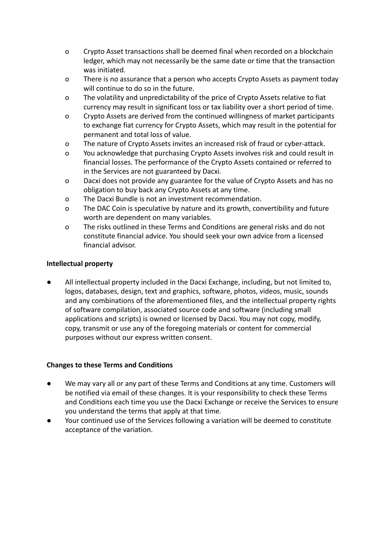- o Crypto Asset transactions shall be deemed final when recorded on a blockchain ledger, which may not necessarily be the same date or time that the transaction was initiated.
- o There is no assurance that a person who accepts Crypto Assets as payment today will continue to do so in the future.
- o The volatility and unpredictability of the price of Crypto Assets relative to fiat currency may result in significant loss or tax liability over a short period of time.
- o Crypto Assets are derived from the continued willingness of market participants to exchange fiat currency for Crypto Assets, which may result in the potential for permanent and total loss of value.
- o The nature of Crypto Assets invites an increased risk of fraud or cyber-attack.
- o You acknowledge that purchasing Crypto Assets involves risk and could result in financial losses. The performance of the Crypto Assets contained or referred to in the Services are not guaranteed by Dacxi.
- o Dacxi does not provide any guarantee for the value of Crypto Assets and has no obligation to buy back any Crypto Assets at any time.
- o The Dacxi Bundle is not an investment recommendation.
- o The DAC Coin is speculative by nature and its growth, convertibility and future worth are dependent on many variables.
- o The risks outlined in these Terms and Conditions are general risks and do not constitute financial advice. You should seek your own advice from a licensed financial advisor.

## **Intellectual property**

All intellectual property included in the Dacxi Exchange, including, but not limited to, logos, databases, design, text and graphics, software, photos, videos, music, sounds and any combinations of the aforementioned files, and the intellectual property rights of software compilation, associated source code and software (including small applications and scripts) is owned or licensed by Dacxi. You may not copy, modify, copy, transmit or use any of the foregoing materials or content for commercial purposes without our express written consent.

## **Changes to these Terms and Conditions**

- We may vary all or any part of these Terms and Conditions at any time. Customers will be notified via email of these changes. It is your responsibility to check these Terms and Conditions each time you use the Dacxi Exchange or receive the Services to ensure you understand the terms that apply at that time.
- Your continued use of the Services following a variation will be deemed to constitute acceptance of the variation.